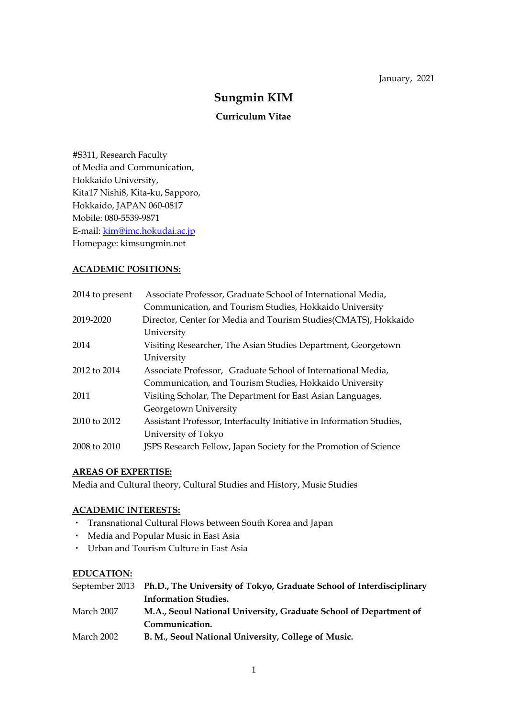# **Sungmin KIM**

# **Curriculum Vitae**

#S311, Research Faculty of Media and Communication, Hokkaido University, Kita17 Nishi8, Kita-ku, Sapporo, Hokkaido, JAPAN 060-0817 Mobile: 080-5539-9871 E-mail: kim@imc.hokudai.ac.jp Homepage: kimsungmin.net

# **ACADEMIC POSITIONS:**

| 2014 to present | Associate Professor, Graduate School of International Media,         |
|-----------------|----------------------------------------------------------------------|
|                 | Communication, and Tourism Studies, Hokkaido University              |
| 2019-2020       | Director, Center for Media and Tourism Studies(CMATS), Hokkaido      |
|                 | University                                                           |
| 2014            | Visiting Researcher, The Asian Studies Department, Georgetown        |
|                 | University                                                           |
| 2012 to 2014    | Associate Professor, Graduate School of International Media,         |
|                 | Communication, and Tourism Studies, Hokkaido University              |
| 2011            | Visiting Scholar, The Department for East Asian Languages,           |
|                 | Georgetown University                                                |
| 2010 to 2012    | Assistant Professor, Interfaculty Initiative in Information Studies, |
|                 | University of Tokyo                                                  |
| 2008 to 2010    | JSPS Research Fellow, Japan Society for the Promotion of Science     |

# **AREAS OF EXPERTISE:**

Media and Cultural theory, Cultural Studies and History, Music Studies

# **ACADEMIC INTERESTS:**

- ・ Transnational Cultural Flows between South Korea and Japan
- ・ Media and Popular Music in East Asia
- ・ Urban and Tourism Culture in East Asia

### **EDUCATION:**

|            | September 2013 Ph.D., The University of Tokyo, Graduate School of Interdisciplinary |
|------------|-------------------------------------------------------------------------------------|
|            | <b>Information Studies.</b>                                                         |
| March 2007 | M.A., Seoul National University, Graduate School of Department of                   |
|            | Communication.                                                                      |
| March 2002 | B. M., Seoul National University, College of Music.                                 |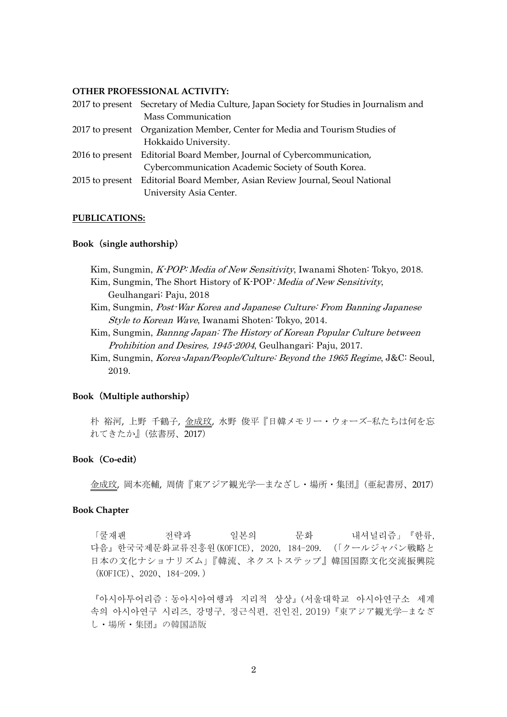### **OTHER PROFESSIONAL ACTIVITY:**

| 2017 to present Secretary of Media Culture, Japan Society for Studies in Journalism and |
|-----------------------------------------------------------------------------------------|
| <b>Mass Communication</b>                                                               |
| 2017 to present Organization Member, Center for Media and Tourism Studies of            |
| Hokkaido University.                                                                    |
| 2016 to present Editorial Board Member, Journal of Cybercommunication,                  |
| Cybercommunication Academic Society of South Korea.                                     |
| 2015 to present Editorial Board Member, Asian Review Journal, Seoul National            |
| University Asia Center.                                                                 |

#### **PUBLICATIONS:**

#### **Book**(**single authorship**)

Kim, Sungmin, K-POP: Media of New Sensitivity, Iwanami Shoten: Tokyo, 2018. Kim, Sungmin, The Short History of K-POP: Media of New Sensitivity, Geulhangari: Paju, 2018

- Kim, Sungmin, Post-War Korea and Japanese Culture: From Banning Japanese Style to Korean Wave, Iwanami Shoten: Tokyo, 2014.
- Kim, Sungmin, Bannng Japan: The History of Korean Popular Culture between Prohibition and Desires, 1945-2004, Geulhangari: Paju, 2017.
- Kim, Sungmin, Korea-Japan/People/Culture: Beyond the 1965 Regime, J&C: Seoul, 2019.

### **Book**(**Multiple authorship**)

朴 裕河, 上野 千鶴子, 金成玟, 水野 俊平『日韓メモリー・ウォーズ−私たちは何を忘 れてきたか』(弦書房、2017)

### **Book**(**Co-edit**)

金成玟, 岡本亮輔, 周倩『東アジア観光学―まなざし・場所・集団』(亜紀書房、2017)

#### **Book Chapter**

「쿨재팬 전략과 일본의 문화 내셔널리즘」『한류, 다음』한국국제문화교류진흥원(KOFICE), 2020, 184-209. (「クールジャパン戦略と 日本の文化ナショナリズム」『韓流、ネクストステップ』韓国国際文化交流振興院 (KOFICE)、2020、184-209.)

『아시아투어리즘:동아시아여행과 지리적 상상』(서울대학교 아시아연구소 세계 속의 아시아연구 시리즈, 강명구, 정근식편, 진인진, 2019)『東アジア観光学―まなざ し・場所・集団』の韓国語版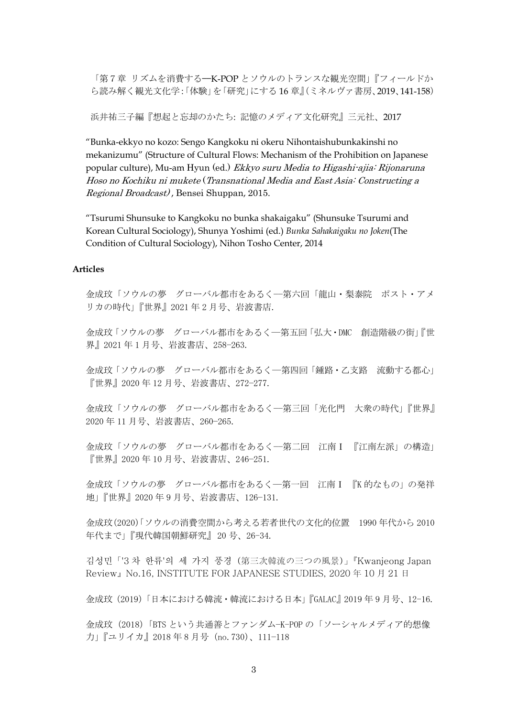「第7章 リズムを消費する–K-POP とソウルのトランスな観光空間」『フィールドか ら読み解く観光文化学:「体験」を「研究」にする 16 章』(ミネルヴァ書房、2019、141-158)

浜井祐三子編『想起と忘却のかたち: 記憶のメディア文化研究』三元社、2017

 "Bunka-ekkyo no kozo: Sengo Kangkoku ni okeru Nihontaishubunkakinshi no mekanizumu" (Structure of Cultural Flows: Mechanism of the Prohibition on Japanese popular culture), Mu-am Hyun (ed.) Ekkyo suru Media to Higashi-ajia: Rijonaruna Hoso no Kochiku ni mukete (Transnational Media and East Asia: Constructing a Regional Broadcast) , Bensei Shuppan, 2015.

 "Tsurumi Shunsuke to Kangkoku no bunka shakaigaku" (Shunsuke Tsurumi and Korean Cultural Sociology), Shunya Yoshimi (ed.) *Bunka Sahakaigaku no Joken*(The Condition of Cultural Sociology), Nihon Tosho Center, 2014

### **Articles**

金成玟「ソウルの夢 グローバル都市をあるく−−第六回「龍山・梨泰院 ポスト・アメ リカの時代」『世界』2021 年 2 月号、岩波書店.

金成玟「ソウルの夢 グローバル都市をあるく−−第五回「弘大・DMC 創造階級の街」『世 界』2021 年 1 月号、岩波書店、258−263.

金成玟「ソウルの夢 グローバル都市をあるく−−第四回「鍾路・乙支路 流動する都心」 『世界』2020 年 12 月号、岩波書店、272−277.

金成玟「ソウルの夢 グローバル都市をあるく−−第三回「光化門 大衆の時代」『世界』 2020 年 11 月号、岩波書店、260−265.

金成玟「ソウルの夢 グローバル都市をあるく−−第二回 江南Ⅰ 『江南左派」の構造」 『世界』2020 年 10 月号、岩波書店、246−251.

金成玟「ソウルの夢 グローバル都市をあるく−−第一回 江南Ⅰ 『K 的なもの」の発祥 地」『世界』2020 年 9 月号、岩波書店、126−131.

金成玟(2020)「ソウルの消費空間から考える若者世代の文化的位置 1990 年代から 2010 年代まで」『現代韓国朝鮮研究』 20 号、26-34.

김성민「'3 차 한류'의 세 가지 풍경(第三次韓流の三つの風景)」『Kwanjeong Japan Review』No.16, INSTITUTE FOR JAPANESE STUDIES, 2020 年 10 月 21 日

金成玟(2019)「日本における韓流・韓流における日本」『GALAC』2019 年 9 月号、12-16.

金成玟(2018)「BTS という共通善とファンダム−K-POP の「ソーシャルメディア的想像 力」『ユリイカ』2018 年 8 月号(no.730)、111−118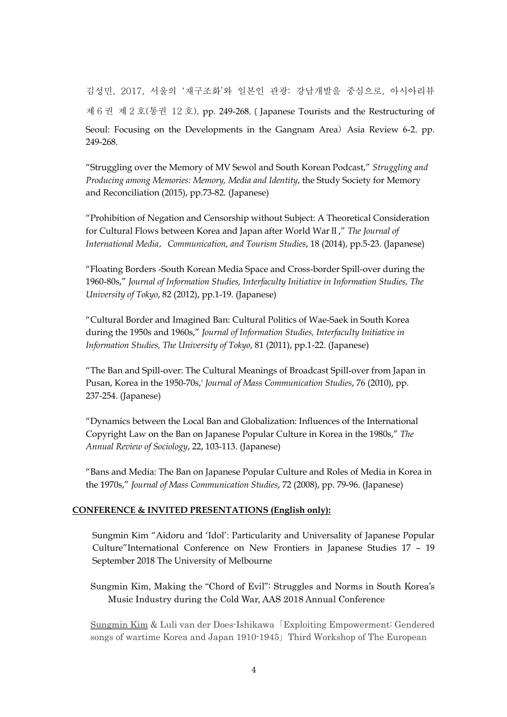김성민, 2017, 서울의 '재구조화'와 일본인 관광: 강남개발을 중심으로, 아시아리뷰 제 6 권 제 2 호(통권 12 호), pp. 249-268.(Japanese Tourists and the Restructuring of Seoul: Focusing on the Developments in the Gangnam Area) Asia Review 6-2, pp. 249-268.

 "Struggling over the Memory of MV Sewol and South Korean Podcast," *Struggling and Producing among Memories: Memory, Media and Identity*, the Study Society for Memory and Reconciliation (2015), pp.73-82. (Japanese)

 "Prohibition of Negation and Censorship without Subject: A Theoretical Consideration for Cultural Flows between Korea and Japan after World WarⅡ," *The Journal of International Media*,*Communication, and Tourism Studies*, 18 (2014), pp.5-23. (Japanese)

 "Floating Borders -South Korean Media Space and Cross-border Spill-over during the 1960-80s," *Journal of Information Studies, Interfaculty Initiative in Information Studies, The University of Tokyo*, 82 (2012), pp.1-19. (Japanese)

 "Cultural Border and Imagined Ban: Cultural Politics of Wae-Saek in South Korea during the 1950s and 1960s," *Journal of Information Studies, Interfaculty Initiative in Information Studies, The University of Tokyo*, 81 (2011), pp.1-22. (Japanese)

 "The Ban and Spill-over: The Cultural Meanings of Broadcast Spill-over from Japan in Pusan, Korea in the 1950-70s,' *Journal of Mass Communication Studies*, 76 (2010), pp. 237-254. (Japanese)

 "Dynamics between the Local Ban and Globalization: Influences of the International Copyright Law on the Ban on Japanese Popular Culture in Korea in the 1980s," *The Annual Review of Sociology*, 22, 103-113. (Japanese)

 "Bans and Media: The Ban on Japanese Popular Culture and Roles of Media in Korea in the 1970s," *Journal of Mass Communication Studies*, 72 (2008), pp. 79-96. (Japanese)

# **CONFERENCE & INVITED PRESENTATIONS (English only):**

Sungmin Kim "Aidoru and 'Idol': Particularity and Universality of Japanese Popular Culture"International Conference on New Frontiers in Japanese Studies 17 – 19 September 2018 The University of Melbourne

Sungmin Kim, Making the "Chord of Evil": Struggles and Norms in South Korea's Music Industry during the Cold War, AAS 2018 Annual Conference

Sungmin Kim & Luli van der Does-Ishikawa「Exploiting Empowerment: Gendered songs of wartime Korea and Japan 1910-1945」Third Workshop of The European